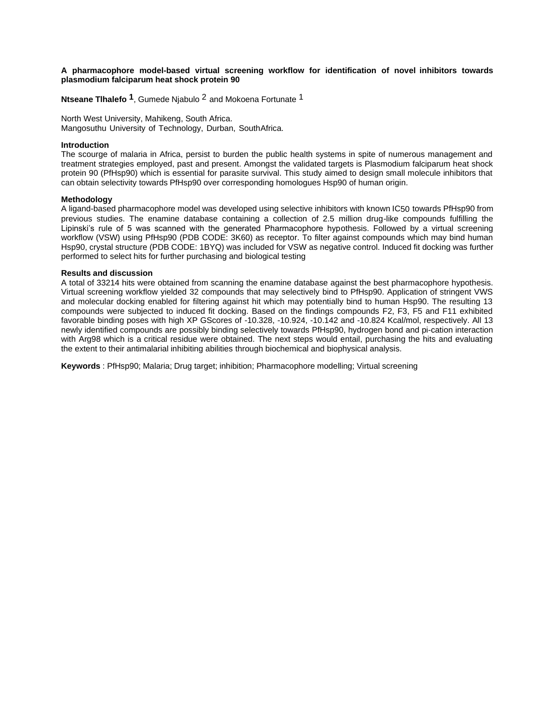## **A pharmacophore model-based virtual screening workflow for identification of novel inhibitors towards plasmodium falciparum heat shock protein 90**

**Ntseane Tlhalefo 1**, Gumede Njabulo 2 and Mokoena Fortunate 1

North West University, Mahikeng, South Africa. Mangosuthu University of Technology, Durban, SouthAfrica.

## **Introduction**

The scourge of malaria in Africa, persist to burden the public health systems in spite of numerous management and treatment strategies employed, past and present. Amongst the validated targets is Plasmodium falciparum heat shock protein 90 (PfHsp90) which is essential for parasite survival. This study aimed to design small molecule inhibitors that can obtain selectivity towards PfHsp90 over corresponding homologues Hsp90 of human origin.

## **Methodology**

A ligand-based pharmacophore model was developed using selective inhibitors with known IC50 towards PfHsp90 from previous studies. The enamine database containing a collection of 2.5 million drug-like compounds fulfilling the Lipinski's rule of 5 was scanned with the generated Pharmacophore hypothesis. Followed by a virtual screening workflow (VSW) using PfHsp90 (PDB CODE: 3K60) as receptor. To filter against compounds which may bind human Hsp90, crystal structure (PDB CODE: 1BYQ) was included for VSW as negative control. Induced fit docking was further performed to select hits for further purchasing and biological testing

## **Results and discussion**

A total of 33214 hits were obtained from scanning the enamine database against the best pharmacophore hypothesis. Virtual screening workflow yielded 32 compounds that may selectively bind to PfHsp90. Application of stringent VWS and molecular docking enabled for filtering against hit which may potentially bind to human Hsp90. The resulting 13 compounds were subjected to induced fit docking. Based on the findings compounds F2, F3, F5 and F11 exhibited favorable binding poses with high XP GScores of -10.328, -10.924, -10.142 and -10.824 Kcal/mol, respectively. All 13 newly identified compounds are possibly binding selectively towards PfHsp90, hydrogen bond and pi-cation interaction with Arg98 which is a critical residue were obtained. The next steps would entail, purchasing the hits and evaluating the extent to their antimalarial inhibiting abilities through biochemical and biophysical analysis.

**Keywords** : PfHsp90; Malaria; Drug target; inhibition; Pharmacophore modelling; Virtual screening